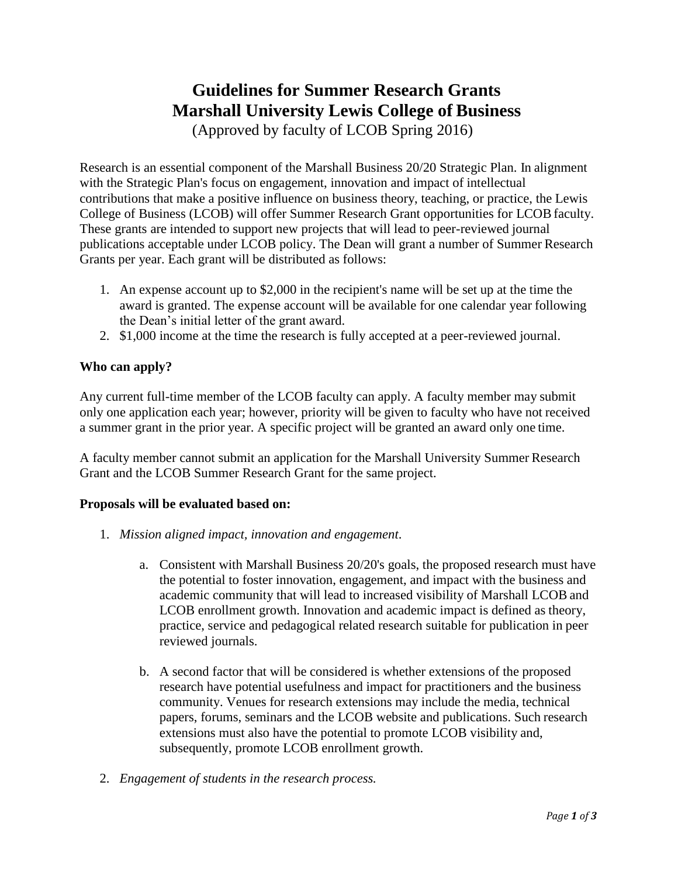# **Guidelines for Summer Research Grants Marshall University Lewis College of Business**

(Approved by faculty of LCOB Spring 2016)

Research is an essential component of the Marshall Business 20/20 Strategic Plan. In alignment with the Strategic Plan's focus on engagement, innovation and impact of intellectual contributions that make a positive influence on business theory, teaching, or practice, the Lewis College of Business (LCOB) will offer Summer Research Grant opportunities for LCOBfaculty. These grants are intended to support new projects that will lead to peer-reviewed journal publications acceptable under LCOB policy. The Dean will grant a number of Summer Research Grants per year. Each grant will be distributed as follows:

- 1. An expense account up to \$2,000 in the recipient's name will be set up at the time the award is granted. The expense account will be available for one calendar year following the Dean's initial letter of the grant award.
- 2. \$1,000 income at the time the research is fully accepted at a peer-reviewed journal.

## **Who can apply?**

Any current full-time member of the LCOB faculty can apply. A faculty member may submit only one application each year; however, priority will be given to faculty who have not received a summer grant in the prior year. A specific project will be granted an award only one time.

A faculty member cannot submit an application for the Marshall University Summer Research Grant and the LCOB Summer Research Grant for the same project.

## **Proposals will be evaluated based on:**

- 1. *Mission aligned impact, innovation and engagement*.
	- a. Consistent with Marshall Business 20/20's goals, the proposed research must have the potential to foster innovation, engagement, and impact with the business and academic community that will lead to increased visibility of Marshall LCOB and LCOB enrollment growth. Innovation and academic impact is defined as theory, practice, service and pedagogical related research suitable for publication in peer reviewed journals.
	- b. A second factor that will be considered is whether extensions of the proposed research have potential usefulness and impact for practitioners and the business community. Venues for research extensions may include the media, technical papers, forums, seminars and the LCOB website and publications. Such research extensions must also have the potential to promote LCOB visibility and, subsequently, promote LCOB enrollment growth.
- 2. *Engagement of students in the research process.*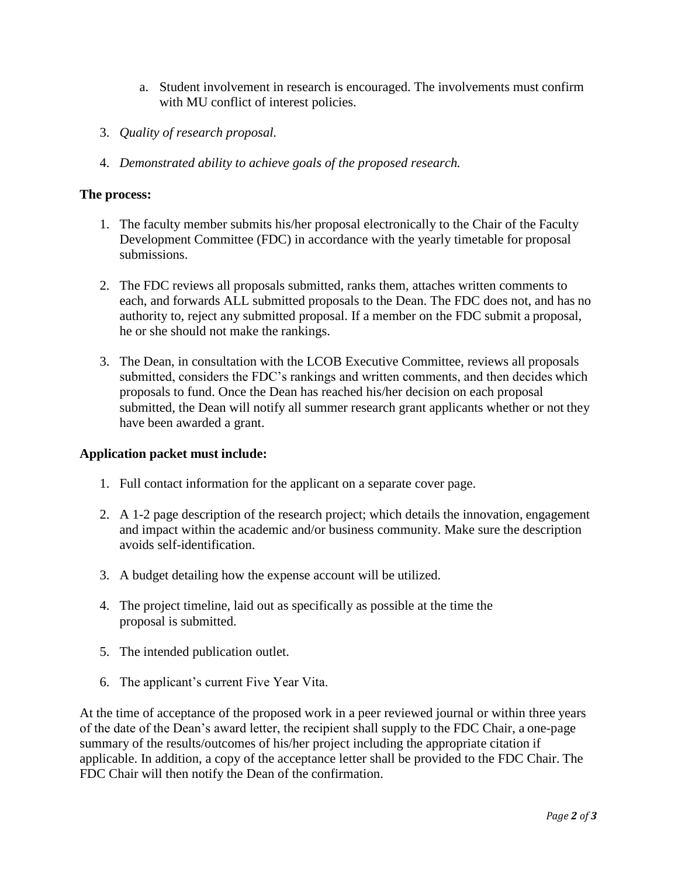- a. Student involvement in research is encouraged. The involvements must confirm with MU conflict of interest policies.
- 3. *Quality of research proposal.*
- 4. *Demonstrated ability to achieve goals of the proposed research.*

#### **The process:**

- 1. The faculty member submits his/her proposal electronically to the Chair of the Faculty Development Committee (FDC) in accordance with the yearly timetable for proposal submissions.
- 2. The FDC reviews all proposals submitted, ranks them, attaches written comments to each, and forwards ALL submitted proposals to the Dean. The FDC does not, and has no authority to, reject any submitted proposal. If a member on the FDC submit a proposal, he or she should not make the rankings.
- 3. The Dean, in consultation with the LCOB Executive Committee, reviews all proposals submitted, considers the FDC's rankings and written comments, and then decides which proposals to fund. Once the Dean has reached his/her decision on each proposal submitted, the Dean will notify all summer research grant applicants whether or not they have been awarded a grant.

## **Application packet must include:**

- 1. Full contact information for the applicant on a separate cover page.
- 2. A 1-2 page description of the research project; which details the innovation, engagement and impact within the academic and/or business community. Make sure the description avoids self-identification.
- 3. A budget detailing how the expense account will be utilized.
- 4. The project timeline, laid out as specifically as possible at the time the proposal is submitted.
- 5. The intended publication outlet.
- 6. The applicant's current Five Year Vita.

At the time of acceptance of the proposed work in a peer reviewed journal or within three years of the date of the Dean's award letter, the recipient shall supply to the FDC Chair, a one-page summary of the results/outcomes of his/her project including the appropriate citation if applicable. In addition, a copy of the acceptance letter shall be provided to the FDC Chair. The FDC Chair will then notify the Dean of the confirmation.